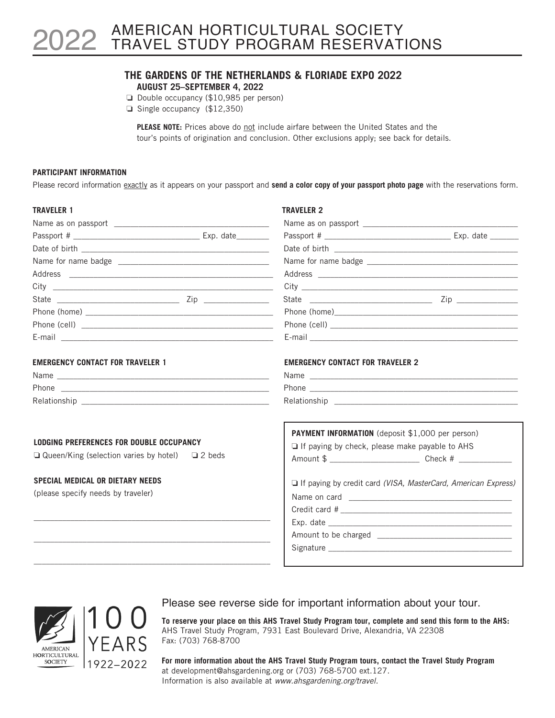### AMERICAN HORTICULTURAL SOCIETY TRAVEL STUDY PROGRAM RESERVATIONS 2022

# **THE GARDENS OF THE NETHERLANDS & FLORIADE EXPO 2022 AUGUST 25–SEPTEMBER 4, 2022**

- 
- $\Box$  Double occupancy (\$10,985 per person)
- $\Box$  Single occupancy (\$12,350)

**PLEASE NOTE:** Prices above do not include airfare between the United States and the tour's points of origination and conclusion. Other exclusions apply; see back for details.

#### **PARTICIPANT INFORMATION**

Please record information exactly as it appears on your passport and **send a color copy of your passport photo page** with the reservations form.

| <b>TRAVELER 1</b>                                                                         |               | <b>TRAVELER 2</b>                                             |                                                                                                                                                                                                                               |  |
|-------------------------------------------------------------------------------------------|---------------|---------------------------------------------------------------|-------------------------------------------------------------------------------------------------------------------------------------------------------------------------------------------------------------------------------|--|
|                                                                                           |               |                                                               |                                                                                                                                                                                                                               |  |
|                                                                                           |               |                                                               |                                                                                                                                                                                                                               |  |
|                                                                                           |               |                                                               |                                                                                                                                                                                                                               |  |
|                                                                                           |               |                                                               |                                                                                                                                                                                                                               |  |
|                                                                                           |               |                                                               |                                                                                                                                                                                                                               |  |
|                                                                                           |               |                                                               |                                                                                                                                                                                                                               |  |
|                                                                                           |               |                                                               |                                                                                                                                                                                                                               |  |
|                                                                                           |               |                                                               |                                                                                                                                                                                                                               |  |
|                                                                                           |               |                                                               |                                                                                                                                                                                                                               |  |
|                                                                                           |               |                                                               |                                                                                                                                                                                                                               |  |
| <b>EMERGENCY CONTACT FOR TRAVELER 1</b>                                                   |               | <b>EMERGENCY CONTACT FOR TRAVELER 2</b>                       |                                                                                                                                                                                                                               |  |
|                                                                                           |               |                                                               |                                                                                                                                                                                                                               |  |
|                                                                                           |               |                                                               |                                                                                                                                                                                                                               |  |
|                                                                                           |               |                                                               | Relationship and the contract of the contract of the contract of the contract of the contract of the contract of the contract of the contract of the contract of the contract of the contract of the contract of the contract |  |
| LODGING PREFERENCES FOR DOUBLE OCCUPANCY<br>$\Box$ Queen/King (selection varies by hotel) | $\Box$ 2 beds |                                                               | PAYMENT INFORMATION (deposit \$1,000 per person)<br>If paying by check, please make payable to AHS                                                                                                                            |  |
| <b>SPECIAL MEDICAL OR DIETARY NEEDS</b>                                                   |               | If paying by credit card (VISA, MasterCard, American Express) |                                                                                                                                                                                                                               |  |
| (please specify needs by traveler)                                                        |               |                                                               |                                                                                                                                                                                                                               |  |
|                                                                                           |               |                                                               |                                                                                                                                                                                                                               |  |
|                                                                                           |               |                                                               |                                                                                                                                                                                                                               |  |
|                                                                                           |               |                                                               |                                                                                                                                                                                                                               |  |
|                                                                                           |               |                                                               |                                                                                                                                                                                                                               |  |



\_\_\_\_\_\_\_\_\_\_\_\_\_\_\_\_\_\_\_\_\_\_\_\_\_\_\_\_\_\_\_\_\_\_\_\_\_\_\_\_\_\_\_\_\_\_\_\_\_\_\_\_\_\_\_\_\_\_

Please see reverse side for important information about your tour.

**To reserve your place on this AHS Travel Study Program tour, complete and send this form to the AHS:** AHS Travel Study Program, 7931 East Boulevard Drive, Alexandria, VA 22308 Fax: (703) 768-8700

**For more information about the AHS Travel Study Program tours, contact the Travel Study Program** at development@ahsgardening.org or (703) 768-5700 ext.127. Information is also available at *www.ahsgardening.org/travel.*